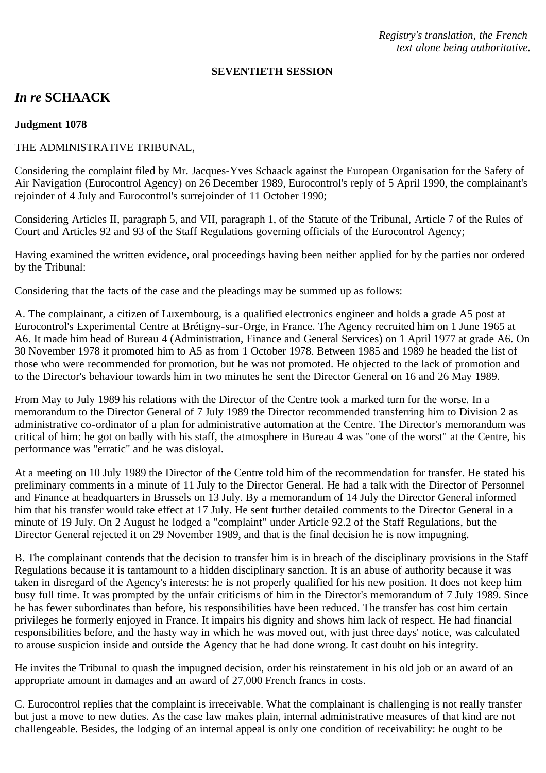*Registry's translation, the French text alone being authoritative.*

#### **SEVENTIETH SESSION**

# *In re* **SCHAACK**

#### **Judgment 1078**

### THE ADMINISTRATIVE TRIBUNAL,

Considering the complaint filed by Mr. Jacques-Yves Schaack against the European Organisation for the Safety of Air Navigation (Eurocontrol Agency) on 26 December 1989, Eurocontrol's reply of 5 April 1990, the complainant's rejoinder of 4 July and Eurocontrol's surrejoinder of 11 October 1990;

Considering Articles II, paragraph 5, and VII, paragraph 1, of the Statute of the Tribunal, Article 7 of the Rules of Court and Articles 92 and 93 of the Staff Regulations governing officials of the Eurocontrol Agency;

Having examined the written evidence, oral proceedings having been neither applied for by the parties nor ordered by the Tribunal:

Considering that the facts of the case and the pleadings may be summed up as follows:

A. The complainant, a citizen of Luxembourg, is a qualified electronics engineer and holds a grade A5 post at Eurocontrol's Experimental Centre at Brétigny-sur-Orge, in France. The Agency recruited him on 1 June 1965 at A6. It made him head of Bureau 4 (Administration, Finance and General Services) on 1 April 1977 at grade A6. On 30 November 1978 it promoted him to A5 as from 1 October 1978. Between 1985 and 1989 he headed the list of those who were recommended for promotion, but he was not promoted. He objected to the lack of promotion and to the Director's behaviour towards him in two minutes he sent the Director General on 16 and 26 May 1989.

From May to July 1989 his relations with the Director of the Centre took a marked turn for the worse. In a memorandum to the Director General of 7 July 1989 the Director recommended transferring him to Division 2 as administrative co-ordinator of a plan for administrative automation at the Centre. The Director's memorandum was critical of him: he got on badly with his staff, the atmosphere in Bureau 4 was "one of the worst" at the Centre, his performance was "erratic" and he was disloyal.

At a meeting on 10 July 1989 the Director of the Centre told him of the recommendation for transfer. He stated his preliminary comments in a minute of 11 July to the Director General. He had a talk with the Director of Personnel and Finance at headquarters in Brussels on 13 July. By a memorandum of 14 July the Director General informed him that his transfer would take effect at 17 July. He sent further detailed comments to the Director General in a minute of 19 July. On 2 August he lodged a "complaint" under Article 92.2 of the Staff Regulations, but the Director General rejected it on 29 November 1989, and that is the final decision he is now impugning.

B. The complainant contends that the decision to transfer him is in breach of the disciplinary provisions in the Staff Regulations because it is tantamount to a hidden disciplinary sanction. It is an abuse of authority because it was taken in disregard of the Agency's interests: he is not properly qualified for his new position. It does not keep him busy full time. It was prompted by the unfair criticisms of him in the Director's memorandum of 7 July 1989. Since he has fewer subordinates than before, his responsibilities have been reduced. The transfer has cost him certain privileges he formerly enjoyed in France. It impairs his dignity and shows him lack of respect. He had financial responsibilities before, and the hasty way in which he was moved out, with just three days' notice, was calculated to arouse suspicion inside and outside the Agency that he had done wrong. It cast doubt on his integrity.

He invites the Tribunal to quash the impugned decision, order his reinstatement in his old job or an award of an appropriate amount in damages and an award of 27,000 French francs in costs.

C. Eurocontrol replies that the complaint is irreceivable. What the complainant is challenging is not really transfer but just a move to new duties. As the case law makes plain, internal administrative measures of that kind are not challengeable. Besides, the lodging of an internal appeal is only one condition of receivability: he ought to be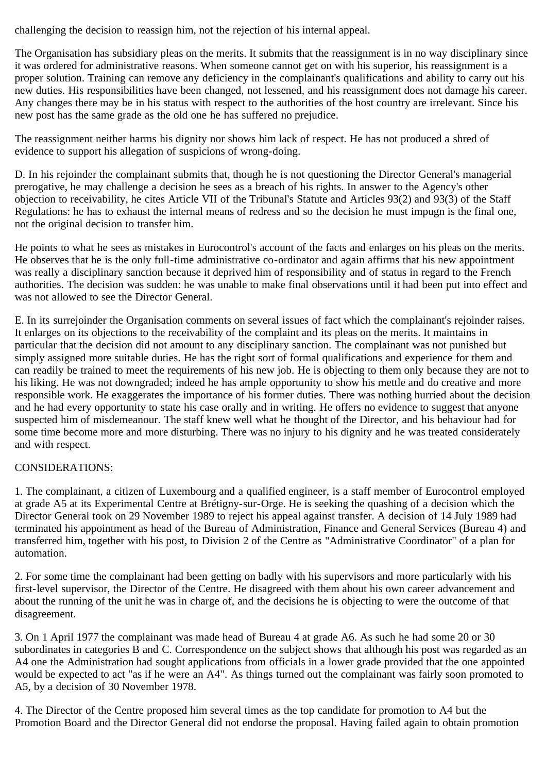challenging the decision to reassign him, not the rejection of his internal appeal.

The Organisation has subsidiary pleas on the merits. It submits that the reassignment is in no way disciplinary since it was ordered for administrative reasons. When someone cannot get on with his superior, his reassignment is a proper solution. Training can remove any deficiency in the complainant's qualifications and ability to carry out his new duties. His responsibilities have been changed, not lessened, and his reassignment does not damage his career. Any changes there may be in his status with respect to the authorities of the host country are irrelevant. Since his new post has the same grade as the old one he has suffered no prejudice.

The reassignment neither harms his dignity nor shows him lack of respect. He has not produced a shred of evidence to support his allegation of suspicions of wrong-doing.

D. In his rejoinder the complainant submits that, though he is not questioning the Director General's managerial prerogative, he may challenge a decision he sees as a breach of his rights. In answer to the Agency's other objection to receivability, he cites Article VII of the Tribunal's Statute and Articles 93(2) and 93(3) of the Staff Regulations: he has to exhaust the internal means of redress and so the decision he must impugn is the final one, not the original decision to transfer him.

He points to what he sees as mistakes in Eurocontrol's account of the facts and enlarges on his pleas on the merits. He observes that he is the only full-time administrative co-ordinator and again affirms that his new appointment was really a disciplinary sanction because it deprived him of responsibility and of status in regard to the French authorities. The decision was sudden: he was unable to make final observations until it had been put into effect and was not allowed to see the Director General.

E. In its surrejoinder the Organisation comments on several issues of fact which the complainant's rejoinder raises. It enlarges on its objections to the receivability of the complaint and its pleas on the merits. It maintains in particular that the decision did not amount to any disciplinary sanction. The complainant was not punished but simply assigned more suitable duties. He has the right sort of formal qualifications and experience for them and can readily be trained to meet the requirements of his new job. He is objecting to them only because they are not to his liking. He was not downgraded; indeed he has ample opportunity to show his mettle and do creative and more responsible work. He exaggerates the importance of his former duties. There was nothing hurried about the decision and he had every opportunity to state his case orally and in writing. He offers no evidence to suggest that anyone suspected him of misdemeanour. The staff knew well what he thought of the Director, and his behaviour had for some time become more and more disturbing. There was no injury to his dignity and he was treated considerately and with respect.

## CONSIDERATIONS:

1. The complainant, a citizen of Luxembourg and a qualified engineer, is a staff member of Eurocontrol employed at grade A5 at its Experimental Centre at Brétigny-sur-Orge. He is seeking the quashing of a decision which the Director General took on 29 November 1989 to reject his appeal against transfer. A decision of 14 July 1989 had terminated his appointment as head of the Bureau of Administration, Finance and General Services (Bureau 4) and transferred him, together with his post, to Division 2 of the Centre as "Administrative Coordinator" of a plan for automation.

2. For some time the complainant had been getting on badly with his supervisors and more particularly with his first-level supervisor, the Director of the Centre. He disagreed with them about his own career advancement and about the running of the unit he was in charge of, and the decisions he is objecting to were the outcome of that disagreement.

3. On 1 April 1977 the complainant was made head of Bureau 4 at grade A6. As such he had some 20 or 30 subordinates in categories B and C. Correspondence on the subject shows that although his post was regarded as an A4 one the Administration had sought applications from officials in a lower grade provided that the one appointed would be expected to act "as if he were an A4". As things turned out the complainant was fairly soon promoted to A5, by a decision of 30 November 1978.

4. The Director of the Centre proposed him several times as the top candidate for promotion to A4 but the Promotion Board and the Director General did not endorse the proposal. Having failed again to obtain promotion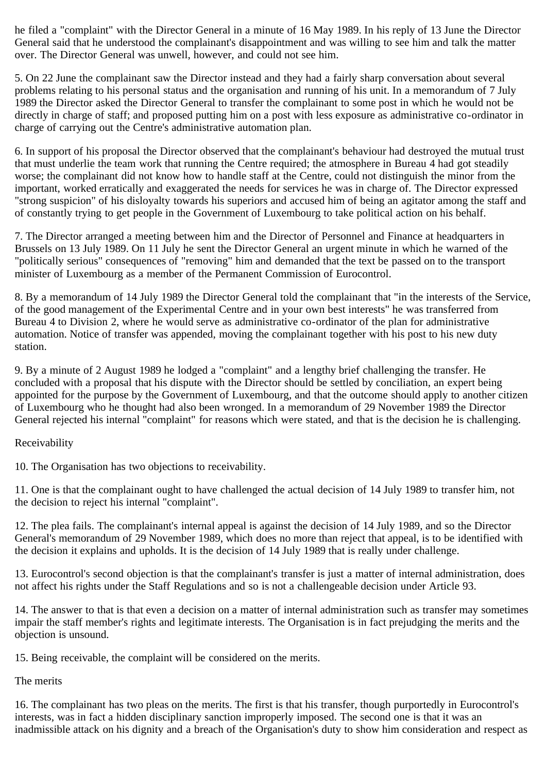he filed a "complaint" with the Director General in a minute of 16 May 1989. In his reply of 13 June the Director General said that he understood the complainant's disappointment and was willing to see him and talk the matter over. The Director General was unwell, however, and could not see him.

5. On 22 June the complainant saw the Director instead and they had a fairly sharp conversation about several problems relating to his personal status and the organisation and running of his unit. In a memorandum of 7 July 1989 the Director asked the Director General to transfer the complainant to some post in which he would not be directly in charge of staff; and proposed putting him on a post with less exposure as administrative co-ordinator in charge of carrying out the Centre's administrative automation plan.

6. In support of his proposal the Director observed that the complainant's behaviour had destroyed the mutual trust that must underlie the team work that running the Centre required; the atmosphere in Bureau 4 had got steadily worse; the complainant did not know how to handle staff at the Centre, could not distinguish the minor from the important, worked erratically and exaggerated the needs for services he was in charge of. The Director expressed "strong suspicion" of his disloyalty towards his superiors and accused him of being an agitator among the staff and of constantly trying to get people in the Government of Luxembourg to take political action on his behalf.

7. The Director arranged a meeting between him and the Director of Personnel and Finance at headquarters in Brussels on 13 July 1989. On 11 July he sent the Director General an urgent minute in which he warned of the "politically serious" consequences of "removing" him and demanded that the text be passed on to the transport minister of Luxembourg as a member of the Permanent Commission of Eurocontrol.

8. By a memorandum of 14 July 1989 the Director General told the complainant that "in the interests of the Service, of the good management of the Experimental Centre and in your own best interests" he was transferred from Bureau 4 to Division 2, where he would serve as administrative co-ordinator of the plan for administrative automation. Notice of transfer was appended, moving the complainant together with his post to his new duty station.

9. By a minute of 2 August 1989 he lodged a "complaint" and a lengthy brief challenging the transfer. He concluded with a proposal that his dispute with the Director should be settled by conciliation, an expert being appointed for the purpose by the Government of Luxembourg, and that the outcome should apply to another citizen of Luxembourg who he thought had also been wronged. In a memorandum of 29 November 1989 the Director General rejected his internal "complaint" for reasons which were stated, and that is the decision he is challenging.

#### Receivability

10. The Organisation has two objections to receivability.

11. One is that the complainant ought to have challenged the actual decision of 14 July 1989 to transfer him, not the decision to reject his internal "complaint".

12. The plea fails. The complainant's internal appeal is against the decision of 14 July 1989, and so the Director General's memorandum of 29 November 1989, which does no more than reject that appeal, is to be identified with the decision it explains and upholds. It is the decision of 14 July 1989 that is really under challenge.

13. Eurocontrol's second objection is that the complainant's transfer is just a matter of internal administration, does not affect his rights under the Staff Regulations and so is not a challengeable decision under Article 93.

14. The answer to that is that even a decision on a matter of internal administration such as transfer may sometimes impair the staff member's rights and legitimate interests. The Organisation is in fact prejudging the merits and the objection is unsound.

15. Being receivable, the complaint will be considered on the merits.

The merits

16. The complainant has two pleas on the merits. The first is that his transfer, though purportedly in Eurocontrol's interests, was in fact a hidden disciplinary sanction improperly imposed. The second one is that it was an inadmissible attack on his dignity and a breach of the Organisation's duty to show him consideration and respect as